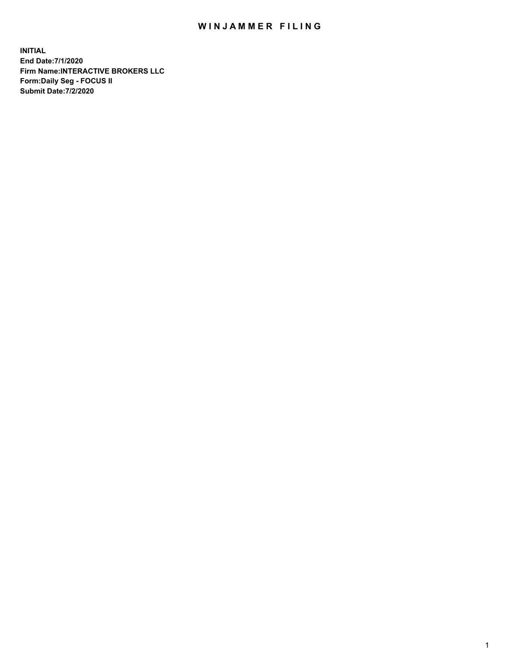## WIN JAMMER FILING

**INITIAL End Date:7/1/2020 Firm Name:INTERACTIVE BROKERS LLC Form:Daily Seg - FOCUS II Submit Date:7/2/2020**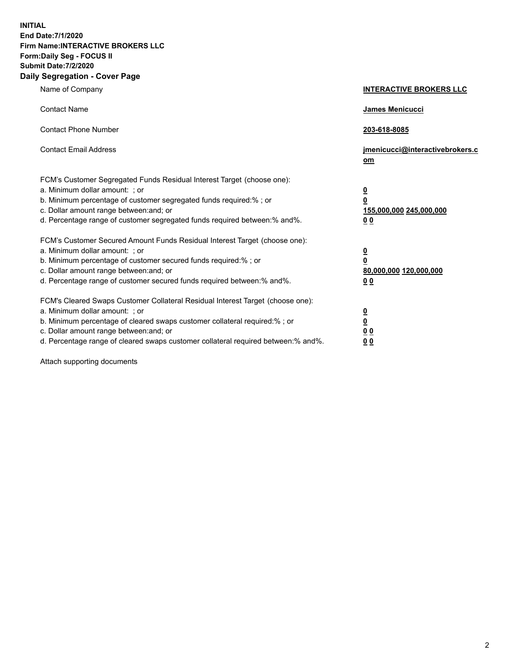**INITIAL End Date:7/1/2020 Firm Name:INTERACTIVE BROKERS LLC Form:Daily Seg - FOCUS II Submit Date:7/2/2020 Daily Segregation - Cover Page**

| Name of Company                                                                                                                                                                                                                                                                                                                | <b>INTERACTIVE BROKERS LLC</b>                                                                 |
|--------------------------------------------------------------------------------------------------------------------------------------------------------------------------------------------------------------------------------------------------------------------------------------------------------------------------------|------------------------------------------------------------------------------------------------|
| <b>Contact Name</b>                                                                                                                                                                                                                                                                                                            | James Menicucci                                                                                |
| <b>Contact Phone Number</b>                                                                                                                                                                                                                                                                                                    | 203-618-8085                                                                                   |
| <b>Contact Email Address</b>                                                                                                                                                                                                                                                                                                   | jmenicucci@interactivebrokers.c<br>om                                                          |
| FCM's Customer Segregated Funds Residual Interest Target (choose one):<br>a. Minimum dollar amount: ; or<br>b. Minimum percentage of customer segregated funds required:% ; or<br>c. Dollar amount range between: and; or<br>d. Percentage range of customer segregated funds required between: % and %.                       | <u>0</u><br>0<br>155,000,000 245,000,000<br><u>00</u>                                          |
| FCM's Customer Secured Amount Funds Residual Interest Target (choose one):<br>a. Minimum dollar amount: ; or<br>b. Minimum percentage of customer secured funds required:% ; or<br>c. Dollar amount range between: and; or<br>d. Percentage range of customer secured funds required between:% and%.                           | $\overline{\mathbf{0}}$<br>$\overline{\mathbf{0}}$<br>80,000,000 120,000,000<br>0 <sup>0</sup> |
| FCM's Cleared Swaps Customer Collateral Residual Interest Target (choose one):<br>a. Minimum dollar amount: ; or<br>b. Minimum percentage of cleared swaps customer collateral required:% ; or<br>c. Dollar amount range between: and; or<br>d. Percentage range of cleared swaps customer collateral required between:% and%. | $\overline{\mathbf{0}}$<br>$\overline{\mathbf{0}}$<br>00<br>0 <sub>0</sub>                     |

Attach supporting documents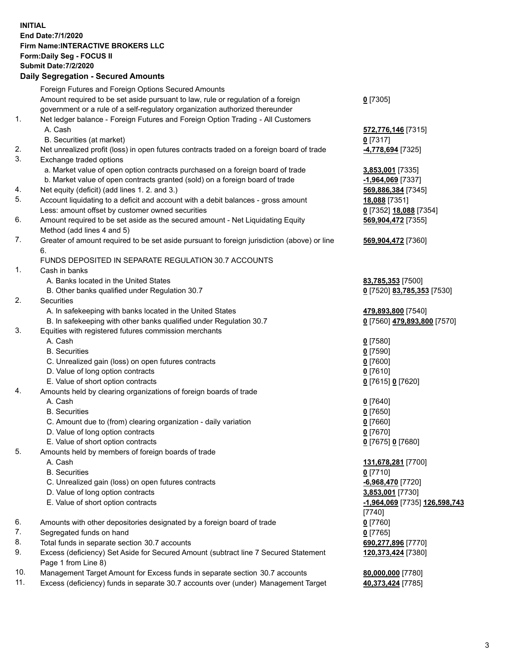**INITIAL End Date:7/1/2020 Firm Name:INTERACTIVE BROKERS LLC Form:Daily Seg - FOCUS II Submit Date:7/2/2020 Daily Segregation - Secured Amounts**

|                | Daily Segregation - Secured Alliounts                                                       |                               |
|----------------|---------------------------------------------------------------------------------------------|-------------------------------|
|                | Foreign Futures and Foreign Options Secured Amounts                                         |                               |
|                | Amount required to be set aside pursuant to law, rule or regulation of a foreign            | $0$ [7305]                    |
|                | government or a rule of a self-regulatory organization authorized thereunder                |                               |
| $\mathbf{1}$ . | Net ledger balance - Foreign Futures and Foreign Option Trading - All Customers             |                               |
|                | A. Cash                                                                                     | 572,776,146 [7315]            |
|                | B. Securities (at market)                                                                   | $0$ [7317]                    |
| 2.             | Net unrealized profit (loss) in open futures contracts traded on a foreign board of trade   | -4,778,694 [7325]             |
| 3.             | Exchange traded options                                                                     |                               |
|                | a. Market value of open option contracts purchased on a foreign board of trade              | 3,853,001 [7335]              |
|                | b. Market value of open contracts granted (sold) on a foreign board of trade                | -1,964,069 [7337]             |
| 4.             | Net equity (deficit) (add lines 1. 2. and 3.)                                               | 569,886,384 [7345]            |
| 5.             | Account liquidating to a deficit and account with a debit balances - gross amount           | 18,088 [7351]                 |
|                | Less: amount offset by customer owned securities                                            | 0 [7352] 18,088 [7354]        |
| 6.             | Amount required to be set aside as the secured amount - Net Liquidating Equity              | 569,904,472 [7355]            |
|                | Method (add lines 4 and 5)                                                                  |                               |
| 7.             | Greater of amount required to be set aside pursuant to foreign jurisdiction (above) or line | 569,904,472 [7360]            |
|                | 6.                                                                                          |                               |
|                | FUNDS DEPOSITED IN SEPARATE REGULATION 30.7 ACCOUNTS                                        |                               |
| 1.             | Cash in banks                                                                               |                               |
|                | A. Banks located in the United States                                                       | 83,785,353 [7500]             |
|                | B. Other banks qualified under Regulation 30.7                                              | 0 [7520] 83,785,353 [7530]    |
| 2.             | <b>Securities</b>                                                                           |                               |
|                | A. In safekeeping with banks located in the United States                                   | 479,893,800 [7540]            |
|                | B. In safekeeping with other banks qualified under Regulation 30.7                          | 0 [7560] 479,893,800 [7570]   |
| 3.             | Equities with registered futures commission merchants                                       |                               |
|                | A. Cash                                                                                     | $0$ [7580]                    |
|                | <b>B.</b> Securities                                                                        | $0$ [7590]                    |
|                | C. Unrealized gain (loss) on open futures contracts                                         | $0$ [7600]                    |
|                | D. Value of long option contracts                                                           | $0$ [7610]                    |
|                | E. Value of short option contracts                                                          | 0 [7615] 0 [7620]             |
| 4.             | Amounts held by clearing organizations of foreign boards of trade                           |                               |
|                | A. Cash                                                                                     | $0$ [7640]                    |
|                | <b>B.</b> Securities                                                                        | $0$ [7650]                    |
|                | C. Amount due to (from) clearing organization - daily variation                             | $0$ [7660]                    |
|                | D. Value of long option contracts                                                           | $0$ [7670]                    |
|                | E. Value of short option contracts                                                          | 0 [7675] 0 [7680]             |
| 5.             | Amounts held by members of foreign boards of trade                                          |                               |
|                | A. Cash                                                                                     | 131,678,281 [7700]            |
|                | <b>B.</b> Securities                                                                        | $0$ [7710]                    |
|                | C. Unrealized gain (loss) on open futures contracts                                         | -6,968,470 [7720]             |
|                | D. Value of long option contracts                                                           | 3,853,001 [7730]              |
|                | E. Value of short option contracts                                                          | -1,964,069 [7735] 126,598,743 |
|                |                                                                                             | [7740]                        |
| 6.             | Amounts with other depositories designated by a foreign board of trade                      | $0$ [7760]                    |
| 7.             | Segregated funds on hand                                                                    | $0$ [7765]                    |
| 8.             | Total funds in separate section 30.7 accounts                                               | 690,277,896 [7770]            |
| 9.             | Excess (deficiency) Set Aside for Secured Amount (subtract line 7 Secured Statement         | 120,373,424 [7380]            |
|                | Page 1 from Line 8)                                                                         |                               |
| 10.            | Management Target Amount for Excess funds in separate section 30.7 accounts                 | 80,000,000 [7780]             |
| 11.            | Excess (deficiency) funds in separate 30.7 accounts over (under) Management Target          | 40,373,424 [7785]             |
|                |                                                                                             |                               |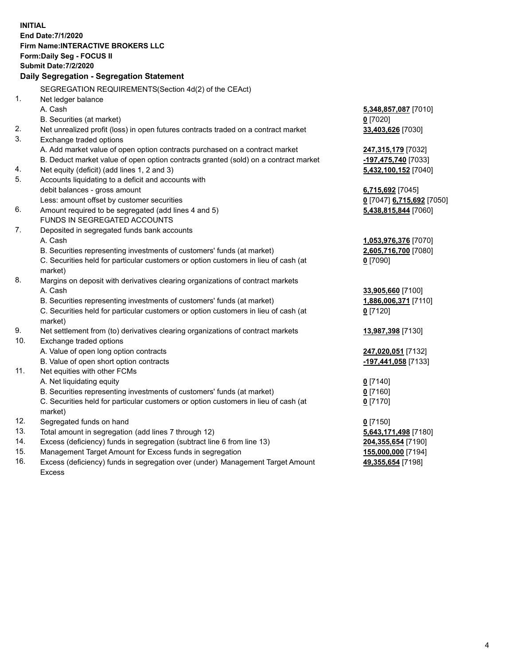**INITIAL End Date:7/1/2020 Firm Name:INTERACTIVE BROKERS LLC Form:Daily Seg - FOCUS II Submit Date:7/2/2020 Daily Segregation - Segregation Statement** SEGREGATION REQUIREMENTS(Section 4d(2) of the CEAct) 1. Net ledger balance A. Cash **5,348,857,087** [7010] B. Securities (at market) **0** [7020] 2. Net unrealized profit (loss) in open futures contracts traded on a contract market **33,403,626** [7030] 3. Exchange traded options A. Add market value of open option contracts purchased on a contract market **247,315,179** [7032] B. Deduct market value of open option contracts granted (sold) on a contract market **-197,475,740** [7033] 4. Net equity (deficit) (add lines 1, 2 and 3) **5,432,100,152** [7040] 5. Accounts liquidating to a deficit and accounts with debit balances - gross amount **6,715,692** [7045] Less: amount offset by customer securities **0** [7047] **6,715,692** [7050] 6. Amount required to be segregated (add lines 4 and 5) **5,438,815,844** [7060] FUNDS IN SEGREGATED ACCOUNTS 7. Deposited in segregated funds bank accounts A. Cash **1,053,976,376** [7070] B. Securities representing investments of customers' funds (at market) **2,605,716,700** [7080] C. Securities held for particular customers or option customers in lieu of cash (at market) **0** [7090] 8. Margins on deposit with derivatives clearing organizations of contract markets A. Cash **33,905,660** [7100] B. Securities representing investments of customers' funds (at market) **1,886,006,371** [7110] C. Securities held for particular customers or option customers in lieu of cash (at market) **0** [7120] 9. Net settlement from (to) derivatives clearing organizations of contract markets **13,987,398** [7130] 10. Exchange traded options A. Value of open long option contracts **247,020,051** [7132] B. Value of open short option contracts **-197,441,058** [7133] 11. Net equities with other FCMs A. Net liquidating equity **0** [7140] B. Securities representing investments of customers' funds (at market) **0** [7160] C. Securities held for particular customers or option customers in lieu of cash (at market) **0** [7170] 12. Segregated funds on hand **0** [7150] 13. Total amount in segregation (add lines 7 through 12) **5,643,171,498** [7180] 14. Excess (deficiency) funds in segregation (subtract line 6 from line 13) **204,355,654** [7190] 15. Management Target Amount for Excess funds in segregation **155,000,000** [7194] **49,355,654** [7198]

16. Excess (deficiency) funds in segregation over (under) Management Target Amount Excess